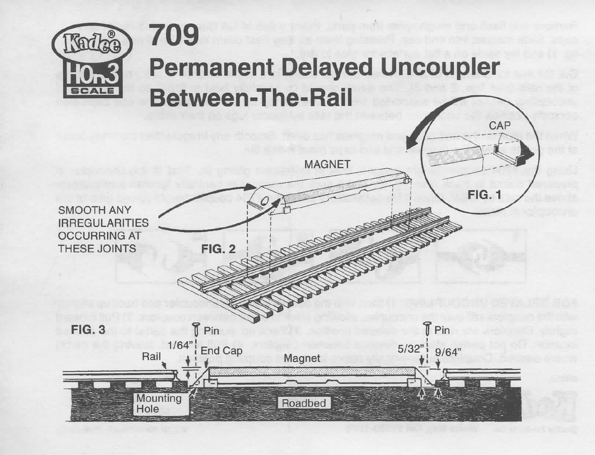

## **709 Permanent Delayed Uncoupler Between-The-Rail**